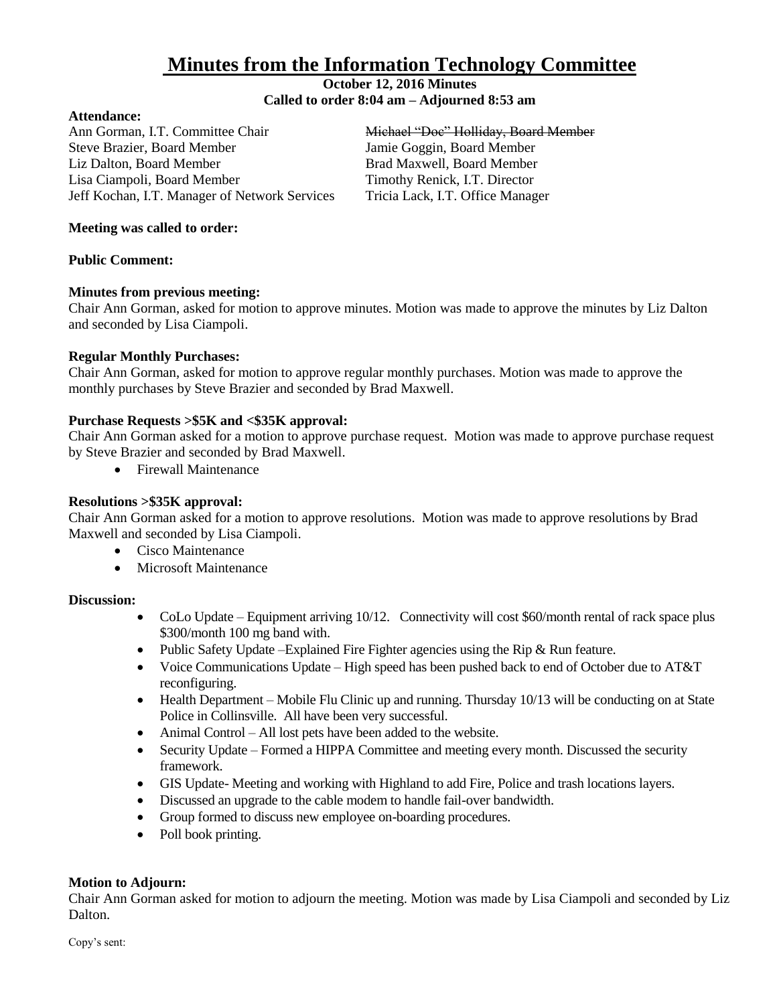# **Minutes from the Information Technology Committee**

#### **October 12, 2016 Minutes Called to order 8:04 am – Adjourned 8:53 am**

#### **Attendance:**

Ann Gorman, I.T. Committee Chair Michael "Doe" Holliday, Board Member Steve Brazier, Board Member Jamie Goggin, Board Member Liz Dalton, Board Member **Brad Maxwell**, Board Member Lisa Ciampoli, Board Member Timothy Renick, I.T. Director Jeff Kochan, I.T. Manager of Network Services Tricia Lack, I.T. Office Manager

#### **Meeting was called to order:**

# **Public Comment:**

# **Minutes from previous meeting:**

Chair Ann Gorman, asked for motion to approve minutes. Motion was made to approve the minutes by Liz Dalton and seconded by Lisa Ciampoli.

# **Regular Monthly Purchases:**

Chair Ann Gorman, asked for motion to approve regular monthly purchases. Motion was made to approve the monthly purchases by Steve Brazier and seconded by Brad Maxwell.

# **Purchase Requests >\$5K and <\$35K approval:**

Chair Ann Gorman asked for a motion to approve purchase request. Motion was made to approve purchase request by Steve Brazier and seconded by Brad Maxwell.

• Firewall Maintenance

# **Resolutions >\$35K approval:**

Chair Ann Gorman asked for a motion to approve resolutions. Motion was made to approve resolutions by Brad Maxwell and seconded by Lisa Ciampoli.

- Cisco Maintenance
- Microsoft Maintenance

#### **Discussion:**

- $\bullet$  CoLo Update Equipment arriving 10/12. Connectivity will cost \$60/month rental of rack space plus \$300/month 100 mg band with.
- Public Safety Update –Explained Fire Fighter agencies using the Rip  $&$  Run feature.
- Voice Communications Update High speed has been pushed back to end of October due to AT&T reconfiguring.
- Health Department Mobile Flu Clinic up and running. Thursday 10/13 will be conducting on at State Police in Collinsville. All have been very successful.
- Animal Control All lost pets have been added to the website.
- Security Update Formed a HIPPA Committee and meeting every month. Discussed the security framework.
- GIS Update- Meeting and working with Highland to add Fire, Police and trash locations layers.
- Discussed an upgrade to the cable modem to handle fail-over bandwidth.
- Group formed to discuss new employee on-boarding procedures.
- Poll book printing.

#### **Motion to Adjourn:**

Chair Ann Gorman asked for motion to adjourn the meeting. Motion was made by Lisa Ciampoli and seconded by Liz Dalton.

Copy's sent: